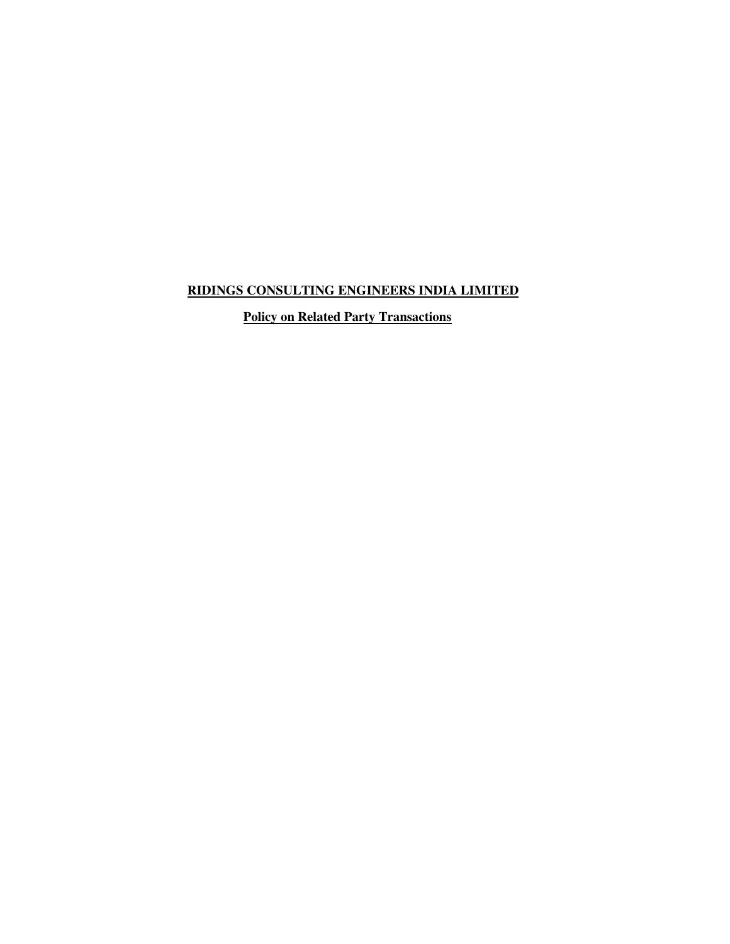# **RIDINGS CONSULTING ENGINEERS INDIA LIMITED**

 **Policy on Related Party Transactions**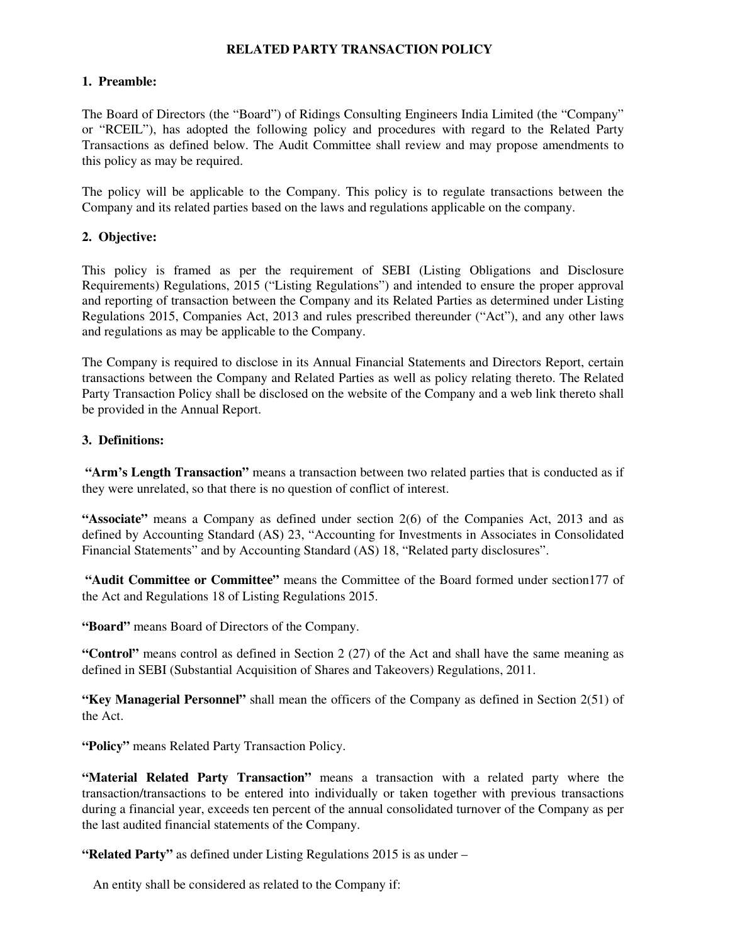# **RELATED PARTY TRANSACTION POLICY**

### **1. Preamble:**

The Board of Directors (the "Board") of Ridings Consulting Engineers India Limited (the "Company" or "RCEIL"), has adopted the following policy and procedures with regard to the Related Party Transactions as defined below. The Audit Committee shall review and may propose amendments to this policy as may be required.

The policy will be applicable to the Company. This policy is to regulate transactions between the Company and its related parties based on the laws and regulations applicable on the company.

# **2. Objective:**

This policy is framed as per the requirement of SEBI (Listing Obligations and Disclosure Requirements) Regulations, 2015 ("Listing Regulations") and intended to ensure the proper approval and reporting of transaction between the Company and its Related Parties as determined under Listing Regulations 2015, Companies Act, 2013 and rules prescribed thereunder ("Act"), and any other laws and regulations as may be applicable to the Company.

The Company is required to disclose in its Annual Financial Statements and Directors Report, certain transactions between the Company and Related Parties as well as policy relating thereto. The Related Party Transaction Policy shall be disclosed on the website of the Company and a web link thereto shall be provided in the Annual Report.

# **3. Definitions:**

**"Arm's Length Transaction"** means a transaction between two related parties that is conducted as if they were unrelated, so that there is no question of conflict of interest.

**"Associate"** means a Company as defined under section 2(6) of the Companies Act, 2013 and as defined by Accounting Standard (AS) 23, "Accounting for Investments in Associates in Consolidated Financial Statements" and by Accounting Standard (AS) 18, "Related party disclosures".

**"Audit Committee or Committee"** means the Committee of the Board formed under section177 of the Act and Regulations 18 of Listing Regulations 2015.

**"Board"** means Board of Directors of the Company.

**"Control"** means control as defined in Section 2 (27) of the Act and shall have the same meaning as defined in SEBI (Substantial Acquisition of Shares and Takeovers) Regulations, 2011.

**"Key Managerial Personnel"** shall mean the officers of the Company as defined in Section 2(51) of the Act.

**"Policy"** means Related Party Transaction Policy.

**"Material Related Party Transaction"** means a transaction with a related party where the transaction/transactions to be entered into individually or taken together with previous transactions during a financial year, exceeds ten percent of the annual consolidated turnover of the Company as per the last audited financial statements of the Company.

**"Related Party"** as defined under Listing Regulations 2015 is as under –

An entity shall be considered as related to the Company if: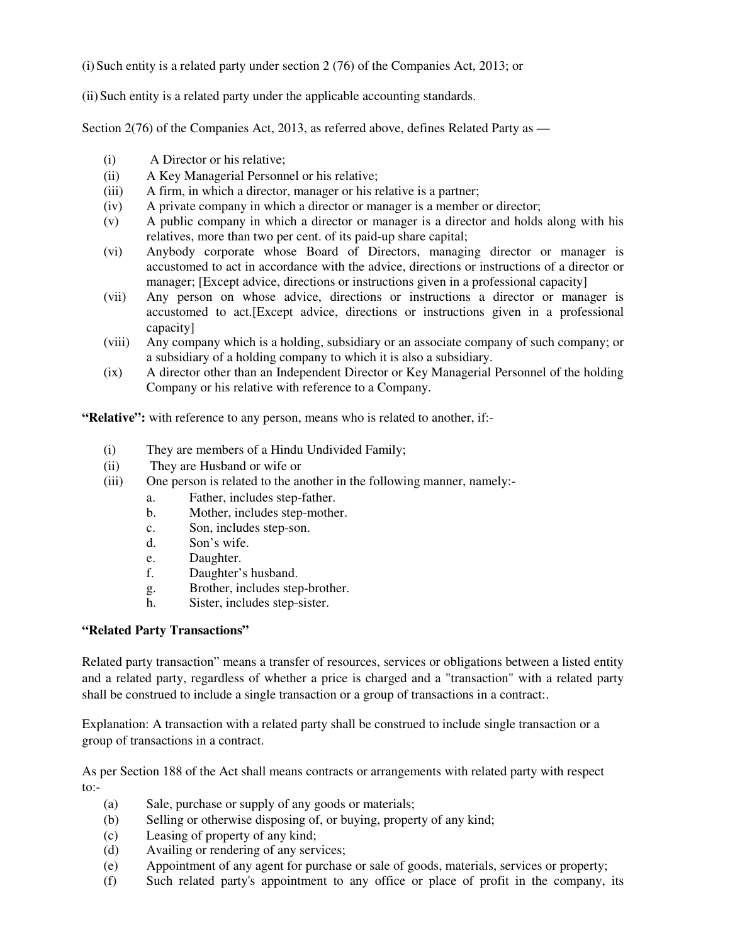(i) Such entity is a related party under section  $2(76)$  of the Companies Act, 2013; or

(ii)Such entity is a related party under the applicable accounting standards.

Section 2(76) of the Companies Act, 2013, as referred above, defines Related Party as —

- (i) A Director or his relative;
- (ii) A Key Managerial Personnel or his relative;
- (iii) A firm, in which a director, manager or his relative is a partner;
- (iv) A private company in which a director or manager is a member or director;
- (v) A public company in which a director or manager is a director and holds along with his relatives, more than two per cent. of its paid-up share capital;
- (vi) Anybody corporate whose Board of Directors, managing director or manager is accustomed to act in accordance with the advice, directions or instructions of a director or manager; [Except advice, directions or instructions given in a professional capacity]
- (vii) Any person on whose advice, directions or instructions a director or manager is accustomed to act.[Except advice, directions or instructions given in a professional capacity]
- (viii) Any company which is a holding, subsidiary or an associate company of such company; or a subsidiary of a holding company to which it is also a subsidiary.
- (ix) A director other than an Independent Director or Key Managerial Personnel of the holding Company or his relative with reference to a Company.

**"Relative":** with reference to any person, means who is related to another, if:-

- (i) They are members of a Hindu Undivided Family;
- (ii) They are Husband or wife or
- (iii) One person is related to the another in the following manner, namely:
	- a. Father, includes step-father.
	- b. Mother, includes step-mother.
	- c. Son, includes step-son.
	- d. Son's wife.
	- e. Daughter.
	- f. Daughter's husband.
	- g. Brother, includes step-brother.
	- h. Sister, includes step-sister.

### **"Related Party Transactions"**

Related party transaction" means a transfer of resources, services or obligations between a listed entity and a related party, regardless of whether a price is charged and a "transaction" with a related party shall be construed to include a single transaction or a group of transactions in a contract:.

Explanation: A transaction with a related party shall be construed to include single transaction or a group of transactions in a contract.

As per Section 188 of the Act shall means contracts or arrangements with related party with respect to:-

- (a) Sale, purchase or supply of any goods or materials;
- (b) Selling or otherwise disposing of, or buying, property of any kind;
- (c) Leasing of property of any kind;
- (d) Availing or rendering of any services;
- (e) Appointment of any agent for purchase or sale of goods, materials, services or property;
- (f) Such related party's appointment to any office or place of profit in the company, its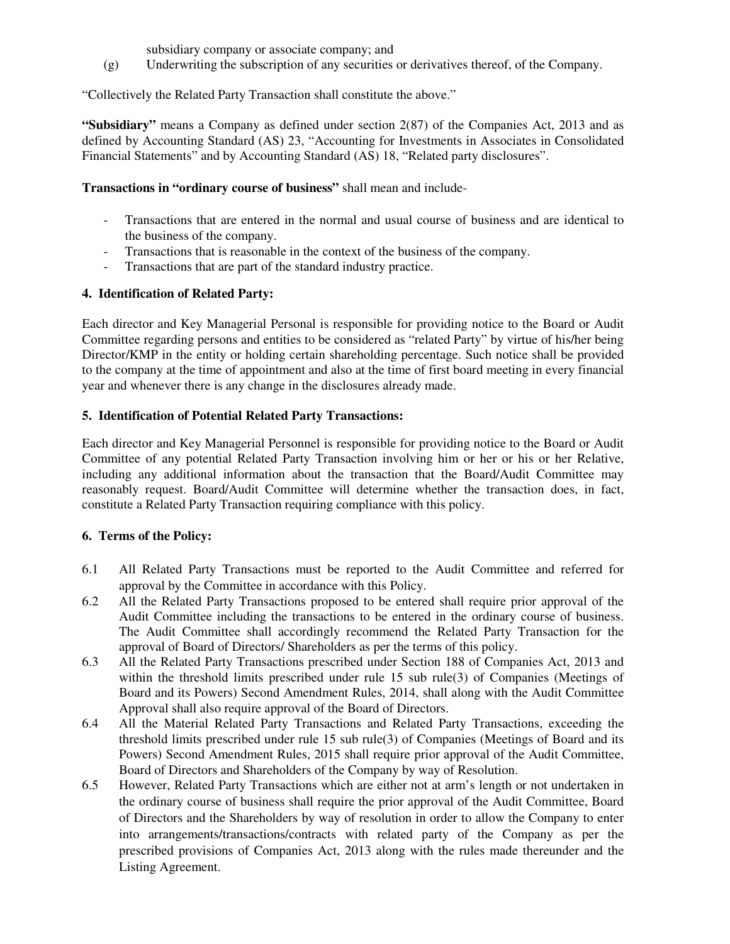subsidiary company or associate company; and

(g) Underwriting the subscription of any securities or derivatives thereof, of the Company.

"Collectively the Related Party Transaction shall constitute the above."

**"Subsidiary"** means a Company as defined under section 2(87) of the Companies Act, 2013 and as defined by Accounting Standard (AS) 23, "Accounting for Investments in Associates in Consolidated Financial Statements" and by Accounting Standard (AS) 18, "Related party disclosures".

### **Transactions in "ordinary course of business"** shall mean and include-

- Transactions that are entered in the normal and usual course of business and are identical to the business of the company.
- Transactions that is reasonable in the context of the business of the company.
- Transactions that are part of the standard industry practice.

# **4. Identification of Related Party:**

Each director and Key Managerial Personal is responsible for providing notice to the Board or Audit Committee regarding persons and entities to be considered as "related Party" by virtue of his/her being Director/KMP in the entity or holding certain shareholding percentage. Such notice shall be provided to the company at the time of appointment and also at the time of first board meeting in every financial year and whenever there is any change in the disclosures already made.

# **5. Identification of Potential Related Party Transactions:**

Each director and Key Managerial Personnel is responsible for providing notice to the Board or Audit Committee of any potential Related Party Transaction involving him or her or his or her Relative, including any additional information about the transaction that the Board/Audit Committee may reasonably request. Board/Audit Committee will determine whether the transaction does, in fact, constitute a Related Party Transaction requiring compliance with this policy.

### **6. Terms of the Policy:**

- 6.1 All Related Party Transactions must be reported to the Audit Committee and referred for approval by the Committee in accordance with this Policy.
- 6.2 All the Related Party Transactions proposed to be entered shall require prior approval of the Audit Committee including the transactions to be entered in the ordinary course of business. The Audit Committee shall accordingly recommend the Related Party Transaction for the approval of Board of Directors/ Shareholders as per the terms of this policy.
- 6.3 All the Related Party Transactions prescribed under Section 188 of Companies Act, 2013 and within the threshold limits prescribed under rule 15 sub rule(3) of Companies (Meetings of Board and its Powers) Second Amendment Rules, 2014, shall along with the Audit Committee Approval shall also require approval of the Board of Directors.
- 6.4 All the Material Related Party Transactions and Related Party Transactions, exceeding the threshold limits prescribed under rule 15 sub rule(3) of Companies (Meetings of Board and its Powers) Second Amendment Rules, 2015 shall require prior approval of the Audit Committee, Board of Directors and Shareholders of the Company by way of Resolution.
- 6.5 However, Related Party Transactions which are either not at arm's length or not undertaken in the ordinary course of business shall require the prior approval of the Audit Committee, Board of Directors and the Shareholders by way of resolution in order to allow the Company to enter into arrangements/transactions/contracts with related party of the Company as per the prescribed provisions of Companies Act, 2013 along with the rules made thereunder and the Listing Agreement.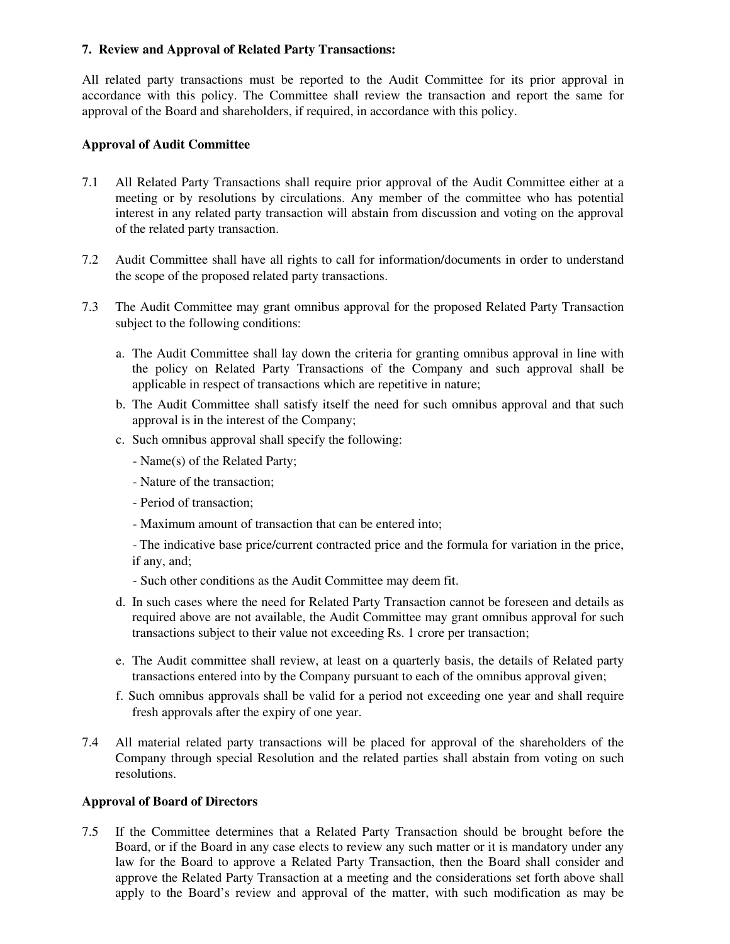# **7. Review and Approval of Related Party Transactions:**

All related party transactions must be reported to the Audit Committee for its prior approval in accordance with this policy. The Committee shall review the transaction and report the same for approval of the Board and shareholders, if required, in accordance with this policy.

### **Approval of Audit Committee**

- 7.1 All Related Party Transactions shall require prior approval of the Audit Committee either at a meeting or by resolutions by circulations. Any member of the committee who has potential interest in any related party transaction will abstain from discussion and voting on the approval of the related party transaction.
- 7.2 Audit Committee shall have all rights to call for information/documents in order to understand the scope of the proposed related party transactions.
- 7.3 The Audit Committee may grant omnibus approval for the proposed Related Party Transaction subject to the following conditions:
	- a. The Audit Committee shall lay down the criteria for granting omnibus approval in line with the policy on Related Party Transactions of the Company and such approval shall be applicable in respect of transactions which are repetitive in nature;
	- b. The Audit Committee shall satisfy itself the need for such omnibus approval and that such approval is in the interest of the Company;
	- c. Such omnibus approval shall specify the following:
		- Name(s) of the Related Party;
		- Nature of the transaction;
		- Period of transaction;
		- Maximum amount of transaction that can be entered into;

- The indicative base price/current contracted price and the formula for variation in the price, if any, and;

- Such other conditions as the Audit Committee may deem fit.
- d. In such cases where the need for Related Party Transaction cannot be foreseen and details as required above are not available, the Audit Committee may grant omnibus approval for such transactions subject to their value not exceeding Rs. 1 crore per transaction;
- e. The Audit committee shall review, at least on a quarterly basis, the details of Related party transactions entered into by the Company pursuant to each of the omnibus approval given;
- f. Such omnibus approvals shall be valid for a period not exceeding one year and shall require fresh approvals after the expiry of one year.
- 7.4 All material related party transactions will be placed for approval of the shareholders of the Company through special Resolution and the related parties shall abstain from voting on such resolutions.

### **Approval of Board of Directors**

7.5 If the Committee determines that a Related Party Transaction should be brought before the Board, or if the Board in any case elects to review any such matter or it is mandatory under any law for the Board to approve a Related Party Transaction, then the Board shall consider and approve the Related Party Transaction at a meeting and the considerations set forth above shall apply to the Board's review and approval of the matter, with such modification as may be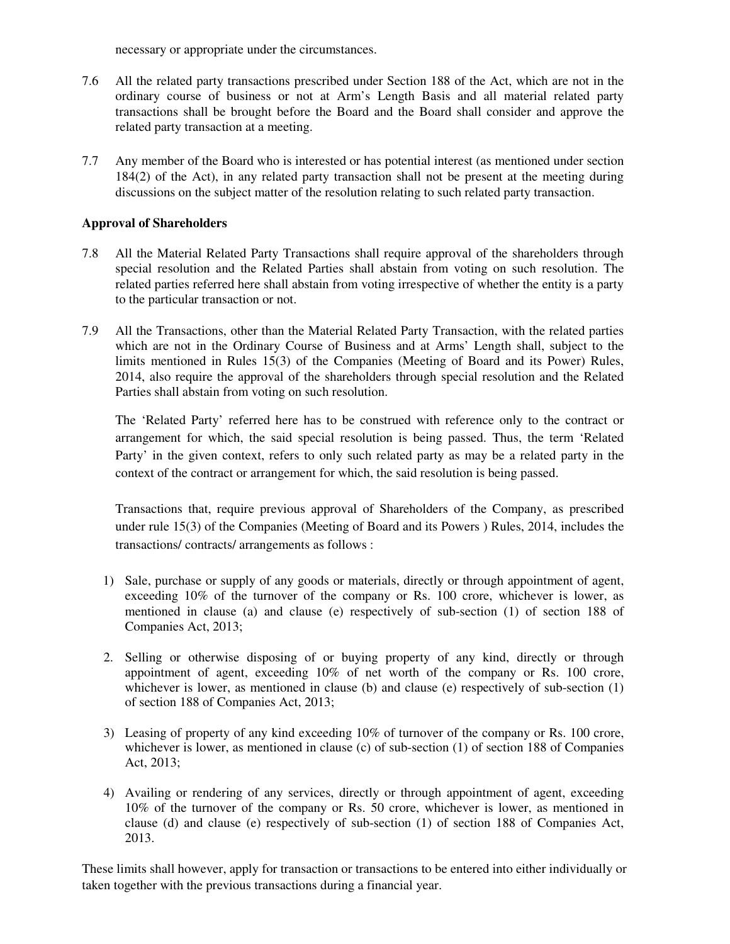necessary or appropriate under the circumstances.

- 7.6 All the related party transactions prescribed under Section 188 of the Act, which are not in the ordinary course of business or not at Arm's Length Basis and all material related party transactions shall be brought before the Board and the Board shall consider and approve the related party transaction at a meeting.
- 7.7 Any member of the Board who is interested or has potential interest (as mentioned under section 184(2) of the Act), in any related party transaction shall not be present at the meeting during discussions on the subject matter of the resolution relating to such related party transaction.

### **Approval of Shareholders**

- 7.8 All the Material Related Party Transactions shall require approval of the shareholders through special resolution and the Related Parties shall abstain from voting on such resolution. The related parties referred here shall abstain from voting irrespective of whether the entity is a party to the particular transaction or not.
- 7.9 All the Transactions, other than the Material Related Party Transaction, with the related parties which are not in the Ordinary Course of Business and at Arms' Length shall, subject to the limits mentioned in Rules 15(3) of the Companies (Meeting of Board and its Power) Rules, 2014, also require the approval of the shareholders through special resolution and the Related Parties shall abstain from voting on such resolution.

The 'Related Party' referred here has to be construed with reference only to the contract or arrangement for which, the said special resolution is being passed. Thus, the term 'Related Party' in the given context, refers to only such related party as may be a related party in the context of the contract or arrangement for which, the said resolution is being passed.

Transactions that, require previous approval of Shareholders of the Company, as prescribed under rule 15(3) of the Companies (Meeting of Board and its Powers ) Rules, 2014, includes the transactions/ contracts/ arrangements as follows :

- 1) Sale, purchase or supply of any goods or materials, directly or through appointment of agent, exceeding 10% of the turnover of the company or Rs. 100 crore, whichever is lower, as mentioned in clause (a) and clause (e) respectively of sub-section (1) of section 188 of Companies Act, 2013;
- 2. Selling or otherwise disposing of or buying property of any kind, directly or through appointment of agent, exceeding 10% of net worth of the company or Rs. 100 crore, whichever is lower, as mentioned in clause (b) and clause (e) respectively of sub-section (1) of section 188 of Companies Act, 2013;
- 3) Leasing of property of any kind exceeding 10% of turnover of the company or Rs. 100 crore, whichever is lower, as mentioned in clause (c) of sub-section (1) of section 188 of Companies Act, 2013;
- 4) Availing or rendering of any services, directly or through appointment of agent, exceeding 10% of the turnover of the company or Rs. 50 crore, whichever is lower, as mentioned in clause (d) and clause (e) respectively of sub-section (1) of section 188 of Companies Act, 2013.

These limits shall however, apply for transaction or transactions to be entered into either individually or taken together with the previous transactions during a financial year.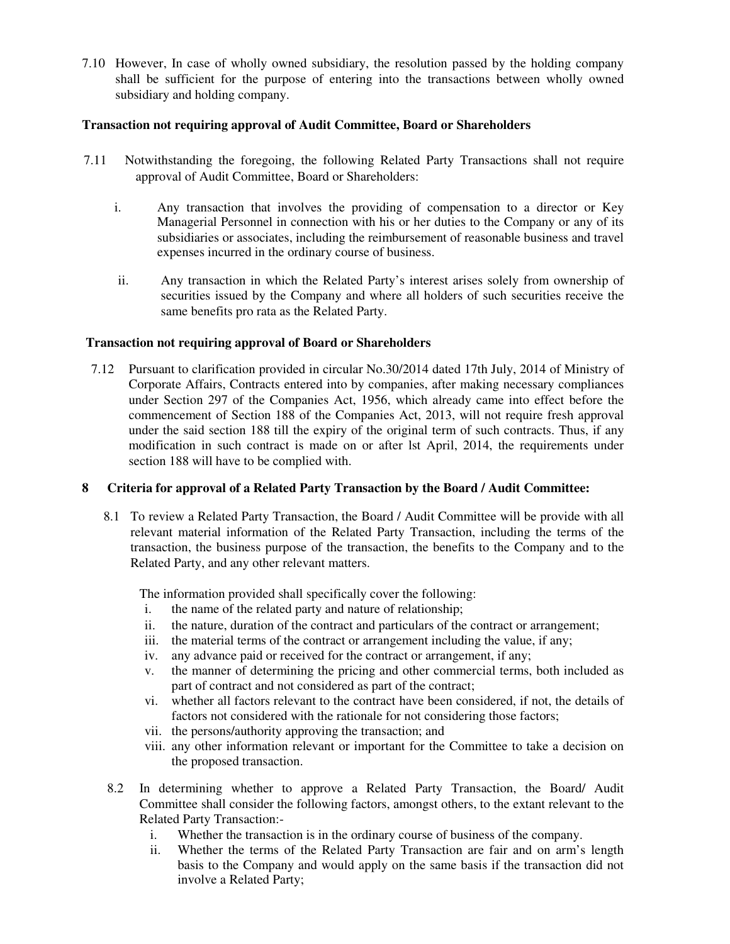7.10 However, In case of wholly owned subsidiary, the resolution passed by the holding company shall be sufficient for the purpose of entering into the transactions between wholly owned subsidiary and holding company.

### **Transaction not requiring approval of Audit Committee, Board or Shareholders**

- 7.11 Notwithstanding the foregoing, the following Related Party Transactions shall not require approval of Audit Committee, Board or Shareholders:
	- i. Any transaction that involves the providing of compensation to a director or Key Managerial Personnel in connection with his or her duties to the Company or any of its subsidiaries or associates, including the reimbursement of reasonable business and travel expenses incurred in the ordinary course of business.
	- ii. Any transaction in which the Related Party's interest arises solely from ownership of securities issued by the Company and where all holders of such securities receive the same benefits pro rata as the Related Party.

# **Transaction not requiring approval of Board or Shareholders**

7.12 Pursuant to clarification provided in circular No.30/2014 dated 17th July, 2014 of Ministry of Corporate Affairs, Contracts entered into by companies, after making necessary compliances under Section 297 of the Companies Act, 1956, which already came into effect before the commencement of Section 188 of the Companies Act, 2013, will not require fresh approval under the said section 188 till the expiry of the original term of such contracts. Thus, if any modification in such contract is made on or after lst April, 2014, the requirements under section 188 will have to be complied with.

# **8 Criteria for approval of a Related Party Transaction by the Board / Audit Committee:**

8.1 To review a Related Party Transaction, the Board / Audit Committee will be provide with all relevant material information of the Related Party Transaction, including the terms of the transaction, the business purpose of the transaction, the benefits to the Company and to the Related Party, and any other relevant matters.

The information provided shall specifically cover the following:

- i. the name of the related party and nature of relationship;
- ii. the nature, duration of the contract and particulars of the contract or arrangement;
- iii. the material terms of the contract or arrangement including the value, if any;
- iv. any advance paid or received for the contract or arrangement, if any;
- v. the manner of determining the pricing and other commercial terms, both included as part of contract and not considered as part of the contract;
- vi. whether all factors relevant to the contract have been considered, if not, the details of factors not considered with the rationale for not considering those factors;
- vii. the persons/authority approving the transaction; and
- viii. any other information relevant or important for the Committee to take a decision on the proposed transaction.
- 8.2 In determining whether to approve a Related Party Transaction, the Board/ Audit Committee shall consider the following factors, amongst others, to the extant relevant to the Related Party Transaction:
	- i. Whether the transaction is in the ordinary course of business of the company.
	- ii. Whether the terms of the Related Party Transaction are fair and on arm's length basis to the Company and would apply on the same basis if the transaction did not involve a Related Party;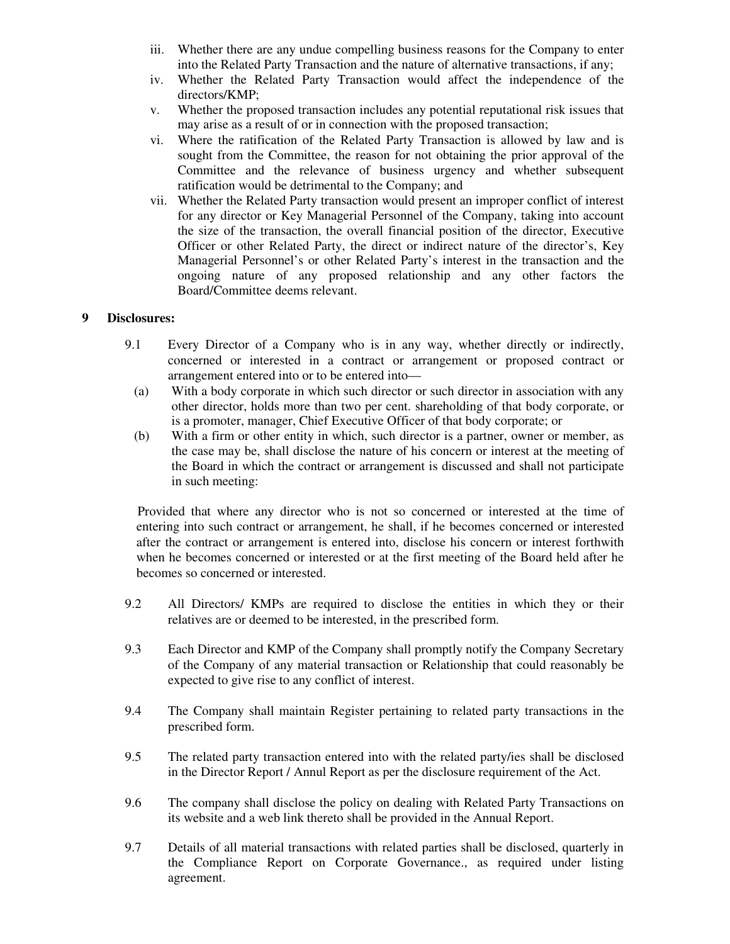- iii. Whether there are any undue compelling business reasons for the Company to enter into the Related Party Transaction and the nature of alternative transactions, if any;
- iv. Whether the Related Party Transaction would affect the independence of the directors/KMP;
- v. Whether the proposed transaction includes any potential reputational risk issues that may arise as a result of or in connection with the proposed transaction;
- vi. Where the ratification of the Related Party Transaction is allowed by law and is sought from the Committee, the reason for not obtaining the prior approval of the Committee and the relevance of business urgency and whether subsequent ratification would be detrimental to the Company; and
- vii. Whether the Related Party transaction would present an improper conflict of interest for any director or Key Managerial Personnel of the Company, taking into account the size of the transaction, the overall financial position of the director, Executive Officer or other Related Party, the direct or indirect nature of the director's, Key Managerial Personnel's or other Related Party's interest in the transaction and the ongoing nature of any proposed relationship and any other factors the Board/Committee deems relevant.

#### **9 Disclosures:**

- 9.1 Every Director of a Company who is in any way, whether directly or indirectly, concerned or interested in a contract or arrangement or proposed contract or arrangement entered into or to be entered into—
	- (a) With a body corporate in which such director or such director in association with any other director, holds more than two per cent. shareholding of that body corporate, or is a promoter, manager, Chief Executive Officer of that body corporate; or
	- (b) With a firm or other entity in which, such director is a partner, owner or member, as the case may be, shall disclose the nature of his concern or interest at the meeting of the Board in which the contract or arrangement is discussed and shall not participate in such meeting:

 Provided that where any director who is not so concerned or interested at the time of entering into such contract or arrangement, he shall, if he becomes concerned or interested after the contract or arrangement is entered into, disclose his concern or interest forthwith when he becomes concerned or interested or at the first meeting of the Board held after he becomes so concerned or interested.

- 9.2 All Directors/ KMPs are required to disclose the entities in which they or their relatives are or deemed to be interested, in the prescribed form.
- 9.3 Each Director and KMP of the Company shall promptly notify the Company Secretary of the Company of any material transaction or Relationship that could reasonably be expected to give rise to any conflict of interest.
- 9.4 The Company shall maintain Register pertaining to related party transactions in the prescribed form.
- 9.5 The related party transaction entered into with the related party/ies shall be disclosed in the Director Report / Annul Report as per the disclosure requirement of the Act.
- 9.6 The company shall disclose the policy on dealing with Related Party Transactions on its website and a web link thereto shall be provided in the Annual Report.
- 9.7 Details of all material transactions with related parties shall be disclosed, quarterly in the Compliance Report on Corporate Governance., as required under listing agreement.